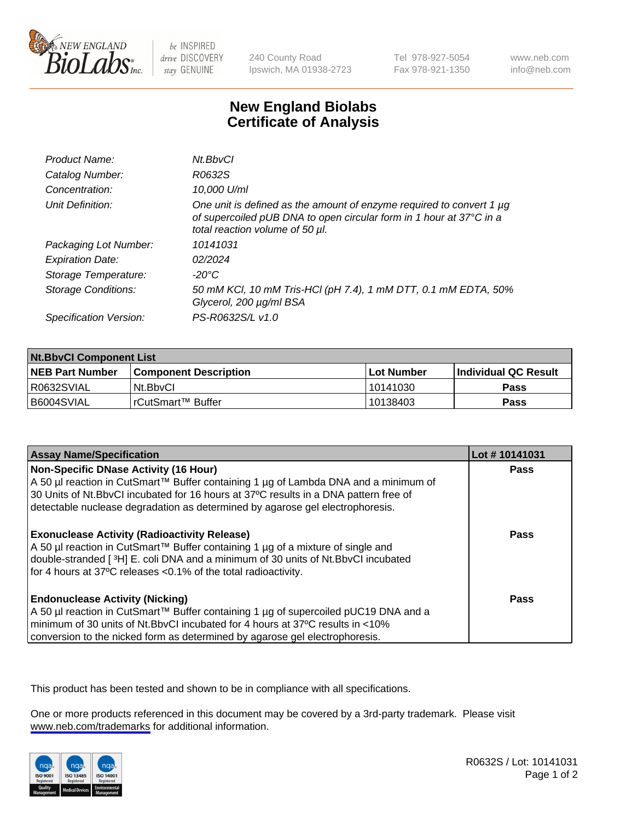

be INSPIRED drive DISCOVERY stay GENUINE

240 County Road Ipswich, MA 01938-2723 Tel 978-927-5054 Fax 978-921-1350

www.neb.com info@neb.com

## **New England Biolabs Certificate of Analysis**

| Product Name:              | Nt.BbvCl                                                                                                                                                                            |
|----------------------------|-------------------------------------------------------------------------------------------------------------------------------------------------------------------------------------|
| Catalog Number:            | R0632S                                                                                                                                                                              |
| Concentration:             | 10,000 U/ml                                                                                                                                                                         |
| Unit Definition:           | One unit is defined as the amount of enzyme required to convert 1 $\mu$ g<br>of supercoiled pUB DNA to open circular form in 1 hour at 37°C in a<br>total reaction volume of 50 µl. |
| Packaging Lot Number:      | 10141031                                                                                                                                                                            |
| <b>Expiration Date:</b>    | 02/2024                                                                                                                                                                             |
| Storage Temperature:       | -20°C                                                                                                                                                                               |
| <b>Storage Conditions:</b> | 50 mM KCl, 10 mM Tris-HCl (pH 7.4), 1 mM DTT, 0.1 mM EDTA, 50%<br>Glycerol, 200 µg/ml BSA                                                                                           |
| Specification Version:     | PS-R0632S/L v1.0                                                                                                                                                                    |

| <b>Nt.BbvCl Component List</b> |                         |              |                             |  |
|--------------------------------|-------------------------|--------------|-----------------------------|--|
| <b>NEB Part Number</b>         | l Component Description | l Lot Number | <b>Individual QC Result</b> |  |
| I R0632SVIAL                   | Nt.BbvCl                | 10141030     | Pass                        |  |
| I B6004SVIAL                   | l rCutSmart™ Buffer     | 10138403     | Pass                        |  |

| <b>Assay Name/Specification</b>                                                                                                                                                                                                                                                                         | Lot #10141031 |
|---------------------------------------------------------------------------------------------------------------------------------------------------------------------------------------------------------------------------------------------------------------------------------------------------------|---------------|
| Non-Specific DNase Activity (16 Hour)<br>  A 50 µl reaction in CutSmart™ Buffer containing 1 µg of Lambda DNA and a minimum of<br>30 Units of Nt.BbvCl incubated for 16 hours at 37°C results in a DNA pattern free of<br>detectable nuclease degradation as determined by agarose gel electrophoresis. | <b>Pass</b>   |
| <b>Exonuclease Activity (Radioactivity Release)</b><br>  A 50 µl reaction in CutSmart™ Buffer containing 1 µg of a mixture of single and<br>double-stranded [3H] E. coli DNA and a minimum of 30 units of Nt.BbvCl incubated<br>for 4 hours at 37°C releases <0.1% of the total radioactivity.          | <b>Pass</b>   |
| <b>Endonuclease Activity (Nicking)</b><br>  A 50 µl reaction in CutSmart™ Buffer containing 1 µg of supercoiled pUC19 DNA and a<br>minimum of 30 units of Nt.BbvCI incubated for 4 hours at 37°C results in <10%<br>conversion to the nicked form as determined by agarose gel electrophoresis.         | <b>Pass</b>   |

This product has been tested and shown to be in compliance with all specifications.

One or more products referenced in this document may be covered by a 3rd-party trademark. Please visit <www.neb.com/trademarks>for additional information.